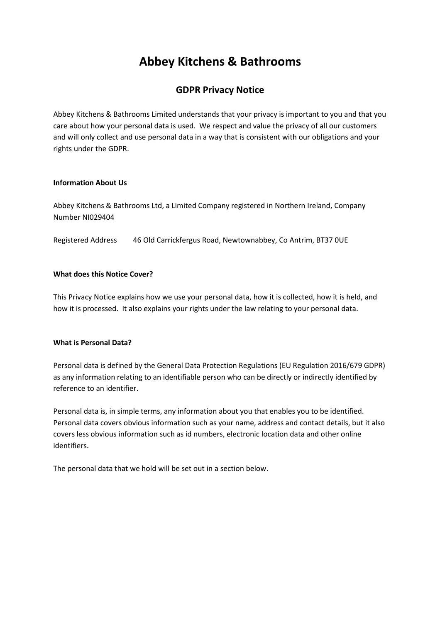# **Abbey Kitchens & Bathrooms**

# **GDPR Privacy Notice**

Abbey Kitchens & Bathrooms Limited understands that your privacy is important to you and that you care about how your personal data is used. We respect and value the privacy of all our customers and will only collect and use personal data in a way that is consistent with our obligations and your rights under the GDPR.

#### **Information About Us**

Abbey Kitchens & Bathrooms Ltd, a Limited Company registered in Northern Ireland, Company Number NI029404

Registered Address 46 Old Carrickfergus Road, Newtownabbey, Co Antrim, BT37 0UE

# **What does this Notice Cover?**

This Privacy Notice explains how we use your personal data, how it is collected, how it is held, and how it is processed. It also explains your rights under the law relating to your personal data.

#### **What is Personal Data?**

Personal data is defined by the General Data Protection Regulations (EU Regulation 2016/679 GDPR) as any information relating to an identifiable person who can be directly or indirectly identified by reference to an identifier.

Personal data is, in simple terms, any information about you that enables you to be identified. Personal data covers obvious information such as your name, address and contact details, but it also covers less obvious information such as id numbers, electronic location data and other online identifiers.

The personal data that we hold will be set out in a section below.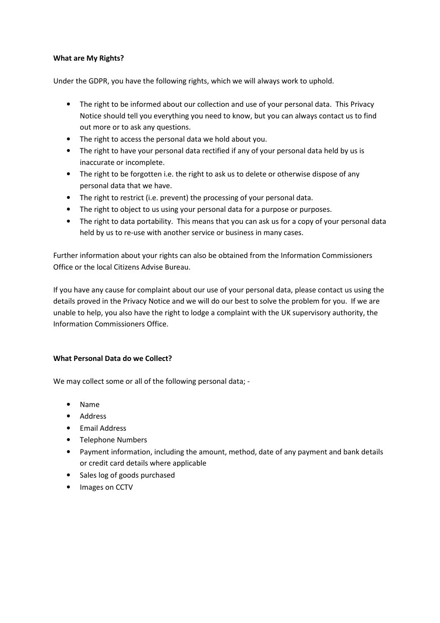# **What are My Rights?**

Under the GDPR, you have the following rights, which we will always work to uphold.

- The right to be informed about our collection and use of your personal data. This Privacy Notice should tell you everything you need to know, but you can always contact us to find out more or to ask any questions.
- The right to access the personal data we hold about you.
- The right to have your personal data rectified if any of your personal data held by us is inaccurate or incomplete.
- The right to be forgotten i.e. the right to ask us to delete or otherwise dispose of any personal data that we have.
- The right to restrict (i.e. prevent) the processing of your personal data.
- The right to object to us using your personal data for a purpose or purposes.
- The right to data portability. This means that you can ask us for a copy of your personal data held by us to re-use with another service or business in many cases.

Further information about your rights can also be obtained from the Information Commissioners Office or the local Citizens Advise Bureau.

If you have any cause for complaint about our use of your personal data, please contact us using the details proved in the Privacy Notice and we will do our best to solve the problem for you. If we are unable to help, you also have the right to lodge a complaint with the UK supervisory authority, the Information Commissioners Office.

#### **What Personal Data do we Collect?**

We may collect some or all of the following personal data; -

- Name
- Address
- Email Address
- Telephone Numbers
- Payment information, including the amount, method, date of any payment and bank details or credit card details where applicable
- Sales log of goods purchased
- Images on CCTV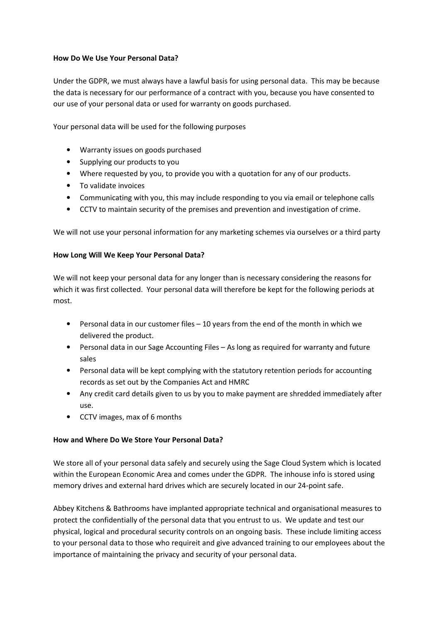# **How Do We Use Your Personal Data?**

Under the GDPR, we must always have a lawful basis for using personal data. This may be because the data is necessary for our performance of a contract with you, because you have consented to our use of your personal data or used for warranty on goods purchased.

Your personal data will be used for the following purposes

- Warranty issues on goods purchased
- Supplying our products to you
- Where requested by you, to provide you with a quotation for any of our products.
- To validate invoices
- Communicating with you, this may include responding to you via email or telephone calls
- CCTV to maintain security of the premises and prevention and investigation of crime.

We will not use your personal information for any marketing schemes via ourselves or a third party

#### **How Long Will We Keep Your Personal Data?**

We will not keep your personal data for any longer than is necessary considering the reasons for which it was first collected. Your personal data will therefore be kept for the following periods at most.

- Personal data in our customer files 10 years from the end of the month in which we delivered the product.
- Personal data in our Sage Accounting Files As long as required for warranty and future sales
- Personal data will be kept complying with the statutory retention periods for accounting records as set out by the Companies Act and HMRC
- Any credit card details given to us by you to make payment are shredded immediately after use.
- CCTV images, max of 6 months

#### **How and Where Do We Store Your Personal Data?**

We store all of your personal data safely and securely using the Sage Cloud System which is located within the European Economic Area and comes under the GDPR. The inhouse info is stored using memory drives and external hard drives which are securely located in our 24-point safe.

Abbey Kitchens & Bathrooms have implanted appropriate technical and organisational measures to protect the confidentially of the personal data that you entrust to us. We update and test our physical, logical and procedural security controls on an ongoing basis. These include limiting access to your personal data to those who requireit and give advanced training to our employees about the importance of maintaining the privacy and security of your personal data.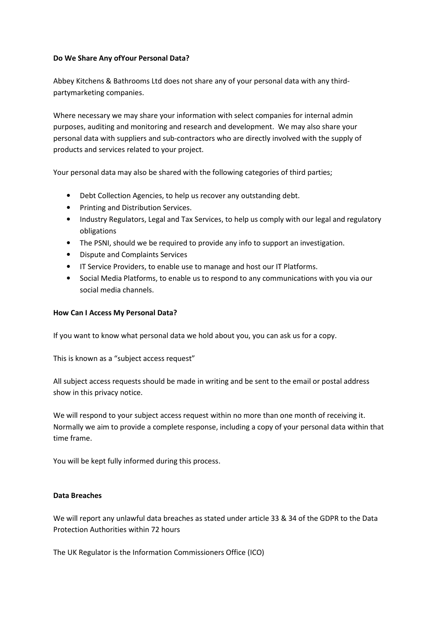# **Do We Share Any ofYour Personal Data?**

Abbey Kitchens & Bathrooms Ltd does not share any of your personal data with any thirdpartymarketing companies.

Where necessary we may share your information with select companies for internal admin purposes, auditing and monitoring and research and development. We may also share your personal data with suppliers and sub-contractors who are directly involved with the supply of products and services related to your project.

Your personal data may also be shared with the following categories of third parties;

- Debt Collection Agencies, to help us recover any outstanding debt.
- Printing and Distribution Services.
- Industry Regulators, Legal and Tax Services, to help us comply with our legal and regulatory obligations
- The PSNI, should we be required to provide any info to support an investigation.
- Dispute and Complaints Services
- IT Service Providers, to enable use to manage and host our IT Platforms.
- Social Media Platforms, to enable us to respond to any communications with you via our social media channels.

# **How Can I Access My Personal Data?**

If you want to know what personal data we hold about you, you can ask us for a copy.

This is known as a "subject access request"

All subject access requests should be made in writing and be sent to the email or postal address show in this privacy notice.

We will respond to your subject access request within no more than one month of receiving it. Normally we aim to provide a complete response, including a copy of your personal data within that time frame.

You will be kept fully informed during this process.

#### **Data Breaches**

We will report any unlawful data breaches as stated under article 33 & 34 of the GDPR to the Data Protection Authorities within 72 hours

The UK Regulator is the Information Commissioners Office (ICO)